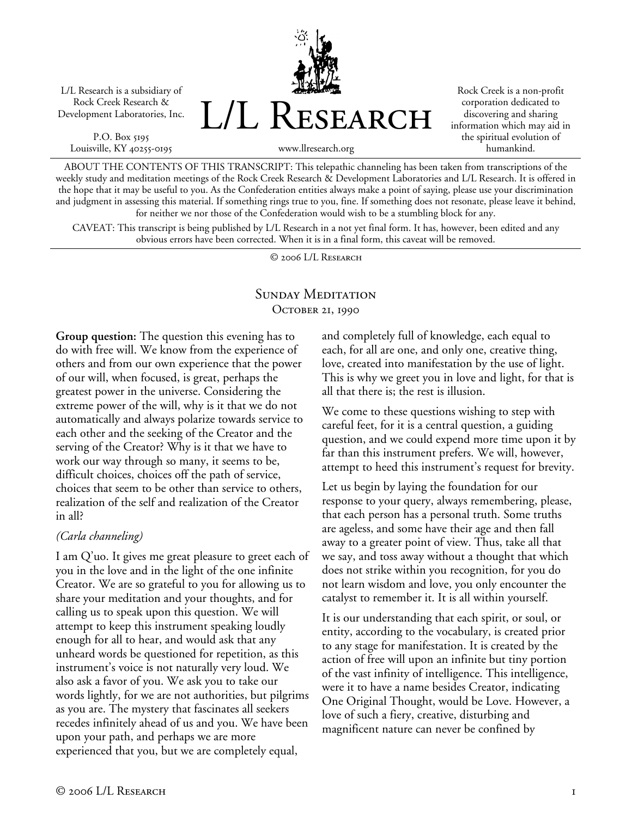L/L Research is a subsidiary of Rock Creek Research & Development Laboratories, Inc.

P.O. Box 5195 Louisville, KY 40255-0195



Rock Creek is a non-profit corporation dedicated to discovering and sharing information which may aid in the spiritual evolution of humankind.

ABOUT THE CONTENTS OF THIS TRANSCRIPT: This telepathic channeling has been taken from transcriptions of the weekly study and meditation meetings of the Rock Creek Research & Development Laboratories and L/L Research. It is offered in the hope that it may be useful to you. As the Confederation entities always make a point of saying, please use your discrimination and judgment in assessing this material. If something rings true to you, fine. If something does not resonate, please leave it behind, for neither we nor those of the Confederation would wish to be a stumbling block for any.

CAVEAT: This transcript is being published by L/L Research in a not yet final form. It has, however, been edited and any obvious errors have been corrected. When it is in a final form, this caveat will be removed.

© 2006 L/L Research

## SUNDAY MEDITATION OCTOBER 21, 1990

**Group question:** The question this evening has to do with free will. We know from the experience of others and from our own experience that the power of our will, when focused, is great, perhaps the greatest power in the universe. Considering the extreme power of the will, why is it that we do not automatically and always polarize towards service to each other and the seeking of the Creator and the serving of the Creator? Why is it that we have to work our way through so many, it seems to be, difficult choices, choices off the path of service, choices that seem to be other than service to others, realization of the self and realization of the Creator in all?

### *(Carla channeling)*

I am Q'uo. It gives me great pleasure to greet each of you in the love and in the light of the one infinite Creator. We are so grateful to you for allowing us to share your meditation and your thoughts, and for calling us to speak upon this question. We will attempt to keep this instrument speaking loudly enough for all to hear, and would ask that any unheard words be questioned for repetition, as this instrument's voice is not naturally very loud. We also ask a favor of you. We ask you to take our words lightly, for we are not authorities, but pilgrims as you are. The mystery that fascinates all seekers recedes infinitely ahead of us and you. We have been upon your path, and perhaps we are more experienced that you, but we are completely equal,

and completely full of knowledge, each equal to each, for all are one, and only one, creative thing, love, created into manifestation by the use of light. This is why we greet you in love and light, for that is all that there is; the rest is illusion.

We come to these questions wishing to step with careful feet, for it is a central question, a guiding question, and we could expend more time upon it by far than this instrument prefers. We will, however, attempt to heed this instrument's request for brevity.

Let us begin by laying the foundation for our response to your query, always remembering, please, that each person has a personal truth. Some truths are ageless, and some have their age and then fall away to a greater point of view. Thus, take all that we say, and toss away without a thought that which does not strike within you recognition, for you do not learn wisdom and love, you only encounter the catalyst to remember it. It is all within yourself.

It is our understanding that each spirit, or soul, or entity, according to the vocabulary, is created prior to any stage for manifestation. It is created by the action of free will upon an infinite but tiny portion of the vast infinity of intelligence. This intelligence, were it to have a name besides Creator, indicating One Original Thought, would be Love. However, a love of such a fiery, creative, disturbing and magnificent nature can never be confined by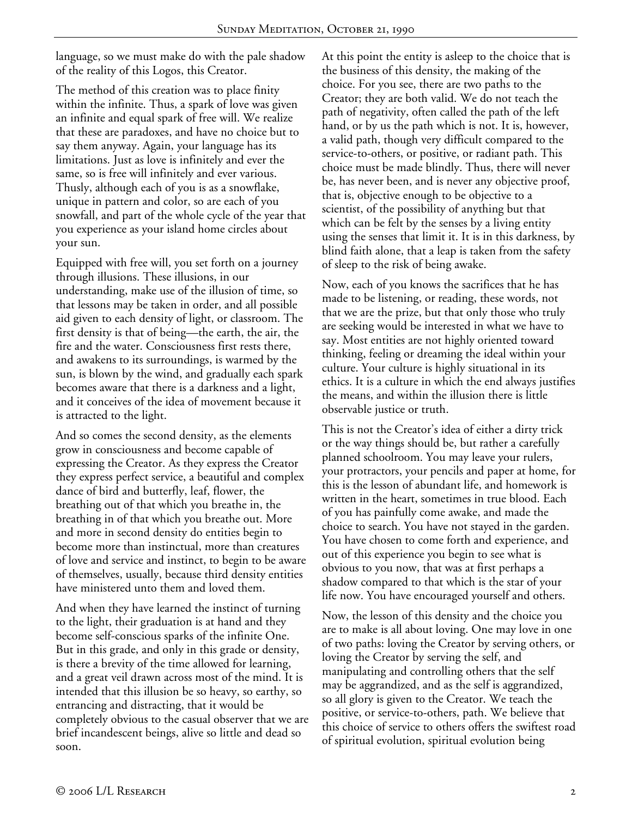language, so we must make do with the pale shadow of the reality of this Logos, this Creator.

The method of this creation was to place finity within the infinite. Thus, a spark of love was given an infinite and equal spark of free will. We realize that these are paradoxes, and have no choice but to say them anyway. Again, your language has its limitations. Just as love is infinitely and ever the same, so is free will infinitely and ever various. Thusly, although each of you is as a snowflake, unique in pattern and color, so are each of you snowfall, and part of the whole cycle of the year that you experience as your island home circles about your sun.

Equipped with free will, you set forth on a journey through illusions. These illusions, in our understanding, make use of the illusion of time, so that lessons may be taken in order, and all possible aid given to each density of light, or classroom. The first density is that of being—the earth, the air, the fire and the water. Consciousness first rests there, and awakens to its surroundings, is warmed by the sun, is blown by the wind, and gradually each spark becomes aware that there is a darkness and a light, and it conceives of the idea of movement because it is attracted to the light.

And so comes the second density, as the elements grow in consciousness and become capable of expressing the Creator. As they express the Creator they express perfect service, a beautiful and complex dance of bird and butterfly, leaf, flower, the breathing out of that which you breathe in, the breathing in of that which you breathe out. More and more in second density do entities begin to become more than instinctual, more than creatures of love and service and instinct, to begin to be aware of themselves, usually, because third density entities have ministered unto them and loved them.

And when they have learned the instinct of turning to the light, their graduation is at hand and they become self-conscious sparks of the infinite One. But in this grade, and only in this grade or density, is there a brevity of the time allowed for learning, and a great veil drawn across most of the mind. It is intended that this illusion be so heavy, so earthy, so entrancing and distracting, that it would be completely obvious to the casual observer that we are brief incandescent beings, alive so little and dead so soon.

At this point the entity is asleep to the choice that is the business of this density, the making of the choice. For you see, there are two paths to the Creator; they are both valid. We do not teach the path of negativity, often called the path of the left hand, or by us the path which is not. It is, however, a valid path, though very difficult compared to the service-to-others, or positive, or radiant path. This choice must be made blindly. Thus, there will never be, has never been, and is never any objective proof, that is, objective enough to be objective to a scientist, of the possibility of anything but that which can be felt by the senses by a living entity using the senses that limit it. It is in this darkness, by blind faith alone, that a leap is taken from the safety of sleep to the risk of being awake.

Now, each of you knows the sacrifices that he has made to be listening, or reading, these words, not that we are the prize, but that only those who truly are seeking would be interested in what we have to say. Most entities are not highly oriented toward thinking, feeling or dreaming the ideal within your culture. Your culture is highly situational in its ethics. It is a culture in which the end always justifies the means, and within the illusion there is little observable justice or truth.

This is not the Creator's idea of either a dirty trick or the way things should be, but rather a carefully planned schoolroom. You may leave your rulers, your protractors, your pencils and paper at home, for this is the lesson of abundant life, and homework is written in the heart, sometimes in true blood. Each of you has painfully come awake, and made the choice to search. You have not stayed in the garden. You have chosen to come forth and experience, and out of this experience you begin to see what is obvious to you now, that was at first perhaps a shadow compared to that which is the star of your life now. You have encouraged yourself and others.

Now, the lesson of this density and the choice you are to make is all about loving. One may love in one of two paths: loving the Creator by serving others, or loving the Creator by serving the self, and manipulating and controlling others that the self may be aggrandized, and as the self is aggrandized, so all glory is given to the Creator. We teach the positive, or service-to-others, path. We believe that this choice of service to others offers the swiftest road of spiritual evolution, spiritual evolution being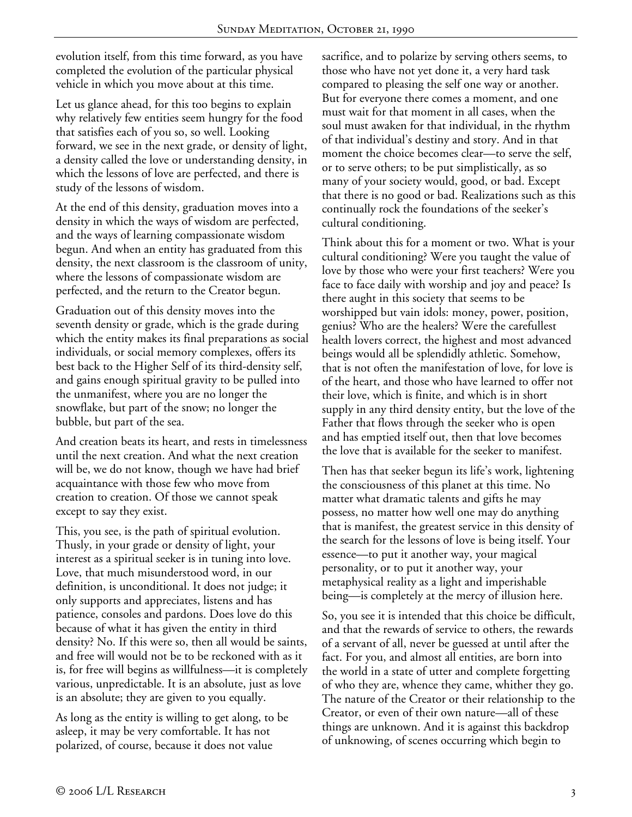evolution itself, from this time forward, as you have completed the evolution of the particular physical vehicle in which you move about at this time.

Let us glance ahead, for this too begins to explain why relatively few entities seem hungry for the food that satisfies each of you so, so well. Looking forward, we see in the next grade, or density of light, a density called the love or understanding density, in which the lessons of love are perfected, and there is study of the lessons of wisdom.

At the end of this density, graduation moves into a density in which the ways of wisdom are perfected, and the ways of learning compassionate wisdom begun. And when an entity has graduated from this density, the next classroom is the classroom of unity, where the lessons of compassionate wisdom are perfected, and the return to the Creator begun.

Graduation out of this density moves into the seventh density or grade, which is the grade during which the entity makes its final preparations as social individuals, or social memory complexes, offers its best back to the Higher Self of its third-density self, and gains enough spiritual gravity to be pulled into the unmanifest, where you are no longer the snowflake, but part of the snow; no longer the bubble, but part of the sea.

And creation beats its heart, and rests in timelessness until the next creation. And what the next creation will be, we do not know, though we have had brief acquaintance with those few who move from creation to creation. Of those we cannot speak except to say they exist.

This, you see, is the path of spiritual evolution. Thusly, in your grade or density of light, your interest as a spiritual seeker is in tuning into love. Love, that much misunderstood word, in our definition, is unconditional. It does not judge; it only supports and appreciates, listens and has patience, consoles and pardons. Does love do this because of what it has given the entity in third density? No. If this were so, then all would be saints, and free will would not be to be reckoned with as it is, for free will begins as willfulness—it is completely various, unpredictable. It is an absolute, just as love is an absolute; they are given to you equally.

As long as the entity is willing to get along, to be asleep, it may be very comfortable. It has not polarized, of course, because it does not value

sacrifice, and to polarize by serving others seems, to those who have not yet done it, a very hard task compared to pleasing the self one way or another. But for everyone there comes a moment, and one must wait for that moment in all cases, when the soul must awaken for that individual, in the rhythm of that individual's destiny and story. And in that moment the choice becomes clear—to serve the self, or to serve others; to be put simplistically, as so many of your society would, good, or bad. Except that there is no good or bad. Realizations such as this continually rock the foundations of the seeker's cultural conditioning.

Think about this for a moment or two. What is your cultural conditioning? Were you taught the value of love by those who were your first teachers? Were you face to face daily with worship and joy and peace? Is there aught in this society that seems to be worshipped but vain idols: money, power, position, genius? Who are the healers? Were the carefullest health lovers correct, the highest and most advanced beings would all be splendidly athletic. Somehow, that is not often the manifestation of love, for love is of the heart, and those who have learned to offer not their love, which is finite, and which is in short supply in any third density entity, but the love of the Father that flows through the seeker who is open and has emptied itself out, then that love becomes the love that is available for the seeker to manifest.

Then has that seeker begun its life's work, lightening the consciousness of this planet at this time. No matter what dramatic talents and gifts he may possess, no matter how well one may do anything that is manifest, the greatest service in this density of the search for the lessons of love is being itself. Your essence—to put it another way, your magical personality, or to put it another way, your metaphysical reality as a light and imperishable being—is completely at the mercy of illusion here.

So, you see it is intended that this choice be difficult, and that the rewards of service to others, the rewards of a servant of all, never be guessed at until after the fact. For you, and almost all entities, are born into the world in a state of utter and complete forgetting of who they are, whence they came, whither they go. The nature of the Creator or their relationship to the Creator, or even of their own nature—all of these things are unknown. And it is against this backdrop of unknowing, of scenes occurring which begin to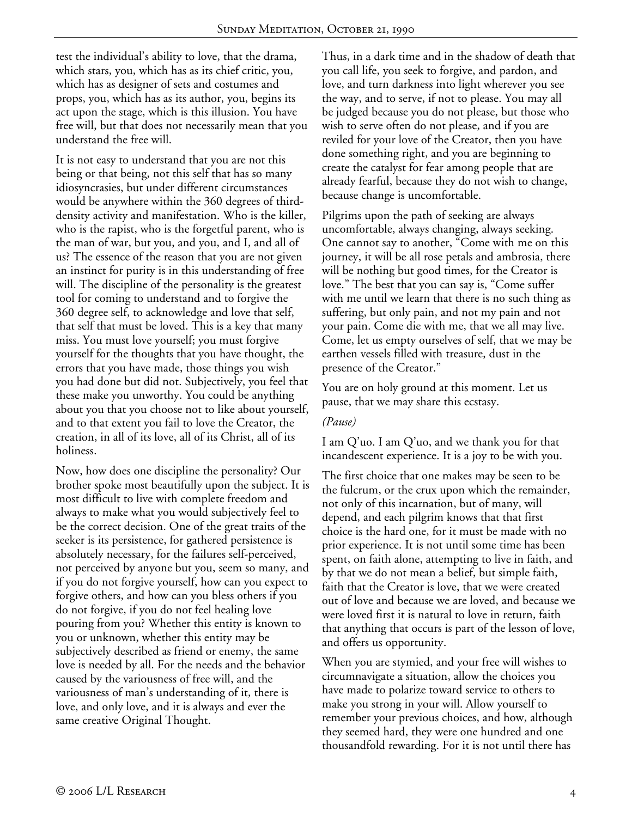test the individual's ability to love, that the drama, which stars, you, which has as its chief critic, you, which has as designer of sets and costumes and props, you, which has as its author, you, begins its act upon the stage, which is this illusion. You have free will, but that does not necessarily mean that you understand the free will.

It is not easy to understand that you are not this being or that being, not this self that has so many idiosyncrasies, but under different circumstances would be anywhere within the 360 degrees of thirddensity activity and manifestation. Who is the killer, who is the rapist, who is the forgetful parent, who is the man of war, but you, and you, and I, and all of us? The essence of the reason that you are not given an instinct for purity is in this understanding of free will. The discipline of the personality is the greatest tool for coming to understand and to forgive the 360 degree self, to acknowledge and love that self, that self that must be loved. This is a key that many miss. You must love yourself; you must forgive yourself for the thoughts that you have thought, the errors that you have made, those things you wish you had done but did not. Subjectively, you feel that these make you unworthy. You could be anything about you that you choose not to like about yourself, and to that extent you fail to love the Creator, the creation, in all of its love, all of its Christ, all of its holiness.

Now, how does one discipline the personality? Our brother spoke most beautifully upon the subject. It is most difficult to live with complete freedom and always to make what you would subjectively feel to be the correct decision. One of the great traits of the seeker is its persistence, for gathered persistence is absolutely necessary, for the failures self-perceived, not perceived by anyone but you, seem so many, and if you do not forgive yourself, how can you expect to forgive others, and how can you bless others if you do not forgive, if you do not feel healing love pouring from you? Whether this entity is known to you or unknown, whether this entity may be subjectively described as friend or enemy, the same love is needed by all. For the needs and the behavior caused by the variousness of free will, and the variousness of man's understanding of it, there is love, and only love, and it is always and ever the same creative Original Thought.

Thus, in a dark time and in the shadow of death that you call life, you seek to forgive, and pardon, and love, and turn darkness into light wherever you see the way, and to serve, if not to please. You may all be judged because you do not please, but those who wish to serve often do not please, and if you are reviled for your love of the Creator, then you have done something right, and you are beginning to create the catalyst for fear among people that are already fearful, because they do not wish to change, because change is uncomfortable.

Pilgrims upon the path of seeking are always uncomfortable, always changing, always seeking. One cannot say to another, "Come with me on this journey, it will be all rose petals and ambrosia, there will be nothing but good times, for the Creator is love." The best that you can say is, "Come suffer with me until we learn that there is no such thing as suffering, but only pain, and not my pain and not your pain. Come die with me, that we all may live. Come, let us empty ourselves of self, that we may be earthen vessels filled with treasure, dust in the presence of the Creator."

You are on holy ground at this moment. Let us pause, that we may share this ecstasy.

### *(Pause)*

I am Q'uo. I am Q'uo, and we thank you for that incandescent experience. It is a joy to be with you.

The first choice that one makes may be seen to be the fulcrum, or the crux upon which the remainder, not only of this incarnation, but of many, will depend, and each pilgrim knows that that first choice is the hard one, for it must be made with no prior experience. It is not until some time has been spent, on faith alone, attempting to live in faith, and by that we do not mean a belief, but simple faith, faith that the Creator is love, that we were created out of love and because we are loved, and because we were loved first it is natural to love in return, faith that anything that occurs is part of the lesson of love, and offers us opportunity.

When you are stymied, and your free will wishes to circumnavigate a situation, allow the choices you have made to polarize toward service to others to make you strong in your will. Allow yourself to remember your previous choices, and how, although they seemed hard, they were one hundred and one thousandfold rewarding. For it is not until there has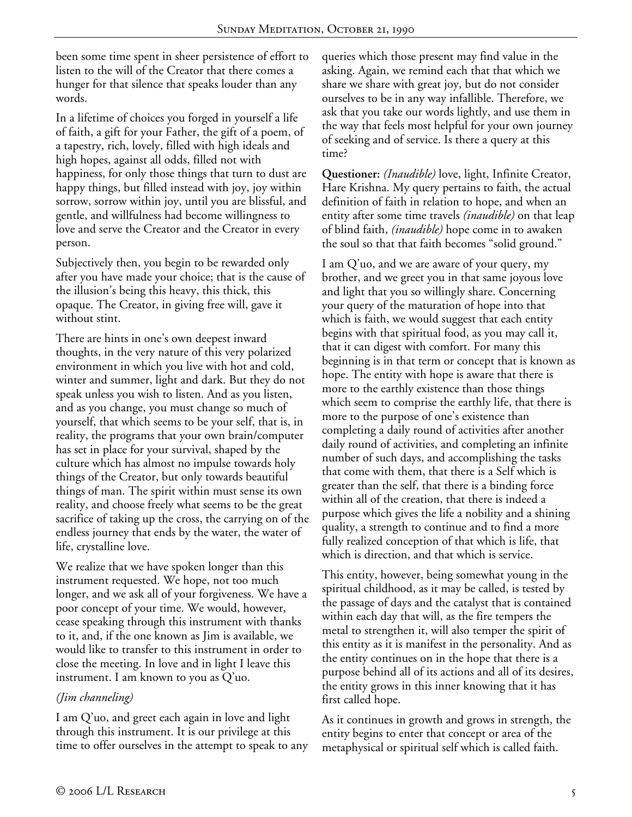been some time spent in sheer persistence of effort to listen to the will of the Creator that there comes a hunger for that silence that speaks louder than any words.

In a lifetime of choices you forged in yourself a life of faith, a gift for your Father, the gift of a poem, of a tapestry, rich, lovely, filled with high ideals and high hopes, against all odds, filled not with happiness, for only those things that turn to dust are happy things, but filled instead with joy, joy within sorrow, sorrow within joy, until you are blissful, and gentle, and willfulness had become willingness to love and serve the Creator and the Creator in every person.

Subjectively then, you begin to be rewarded only after you have made your choice; that is the cause of the illusion's being this heavy, this thick, this opaque. The Creator, in giving free will, gave it without stint.

There are hints in one's own deepest inward thoughts, in the very nature of this very polarized environment in which you live with hot and cold, winter and summer, light and dark. But they do not speak unless you wish to listen. And as you listen, and as you change, you must change so much of yourself, that which seems to be your self, that is, in reality, the programs that your own brain/computer has set in place for your survival, shaped by the culture which has almost no impulse towards holy things of the Creator, but only towards beautiful things of man. The spirit within must sense its own reality, and choose freely what seems to be the great sacrifice of taking up the cross, the carrying on of the endless journey that ends by the water, the water of life, crystalline love.

We realize that we have spoken longer than this instrument requested. We hope, not too much longer, and we ask all of your forgiveness. We have a poor concept of your time. We would, however, cease speaking through this instrument with thanks to it, and, if the one known as Jim is available, we would like to transfer to this instrument in order to close the meeting. In love and in light I leave this instrument. I am known to you as Q'uo.

# *(Jim channeling)*

I am Q'uo, and greet each again in love and light through this instrument. It is our privilege at this time to offer ourselves in the attempt to speak to any queries which those present may find value in the asking. Again, we remind each that that which we share we share with great joy, but do not consider ourselves to be in any way infallible. Therefore, we ask that you take our words lightly, and use them in the way that feels most helpful for your own journey of seeking and of service. Is there a query at this time?

**Questioner:** *(Inaudible)* love, light, Infinite Creator, Hare Krishna. My query pertains to faith, the actual definition of faith in relation to hope, and when an entity after some time travels *(inaudible)* on that leap of blind faith, *(inaudible)* hope come in to awaken the soul so that that faith becomes "solid ground."

I am Q'uo, and we are aware of your query, my brother, and we greet you in that same joyous love and light that you so willingly share. Concerning your query of the maturation of hope into that which is faith, we would suggest that each entity begins with that spiritual food, as you may call it, that it can digest with comfort. For many this beginning is in that term or concept that is known as hope. The entity with hope is aware that there is more to the earthly existence than those things which seem to comprise the earthly life, that there is more to the purpose of one's existence than completing a daily round of activities after another daily round of activities, and completing an infinite number of such days, and accomplishing the tasks that come with them, that there is a Self which is greater than the self, that there is a binding force within all of the creation, that there is indeed a purpose which gives the life a nobility and a shining quality, a strength to continue and to find a more fully realized conception of that which is life, that which is direction, and that which is service.

This entity, however, being somewhat young in the spiritual childhood, as it may be called, is tested by the passage of days and the catalyst that is contained within each day that will, as the fire tempers the metal to strengthen it, will also temper the spirit of this entity as it is manifest in the personality. And as the entity continues on in the hope that there is a purpose behind all of its actions and all of its desires, the entity grows in this inner knowing that it has first called hope.

As it continues in growth and grows in strength, the entity begins to enter that concept or area of the metaphysical or spiritual self which is called faith.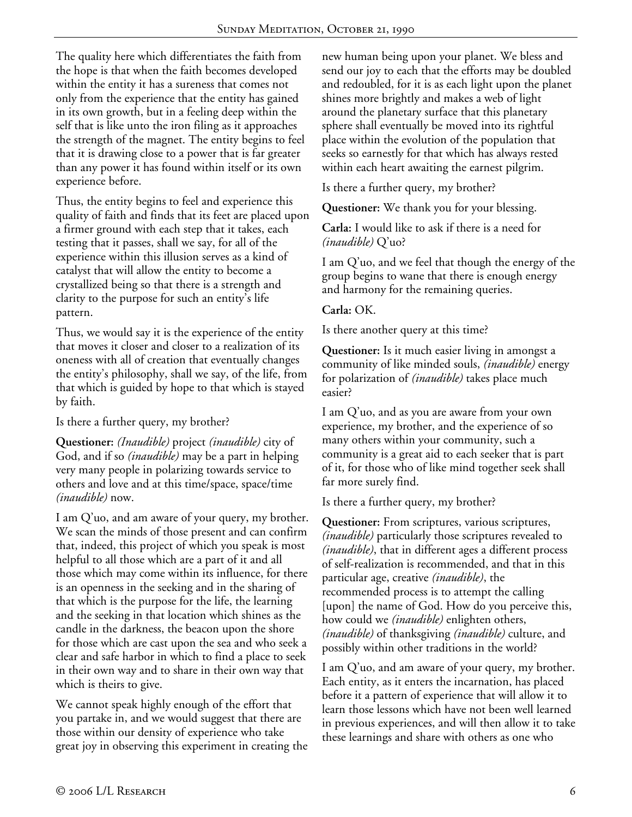The quality here which differentiates the faith from the hope is that when the faith becomes developed within the entity it has a sureness that comes not only from the experience that the entity has gained in its own growth, but in a feeling deep within the self that is like unto the iron filing as it approaches the strength of the magnet. The entity begins to feel that it is drawing close to a power that is far greater than any power it has found within itself or its own experience before.

Thus, the entity begins to feel and experience this quality of faith and finds that its feet are placed upon a firmer ground with each step that it takes, each testing that it passes, shall we say, for all of the experience within this illusion serves as a kind of catalyst that will allow the entity to become a crystallized being so that there is a strength and clarity to the purpose for such an entity's life pattern.

Thus, we would say it is the experience of the entity that moves it closer and closer to a realization of its oneness with all of creation that eventually changes the entity's philosophy, shall we say, of the life, from that which is guided by hope to that which is stayed by faith.

Is there a further query, my brother?

**Questioner:** *(Inaudible)* project *(inaudible)* city of God, and if so *(inaudible)* may be a part in helping very many people in polarizing towards service to others and love and at this time/space, space/time *(inaudible)* now.

I am Q'uo, and am aware of your query, my brother. We scan the minds of those present and can confirm that, indeed, this project of which you speak is most helpful to all those which are a part of it and all those which may come within its influence, for there is an openness in the seeking and in the sharing of that which is the purpose for the life, the learning and the seeking in that location which shines as the candle in the darkness, the beacon upon the shore for those which are cast upon the sea and who seek a clear and safe harbor in which to find a place to seek in their own way and to share in their own way that which is theirs to give.

We cannot speak highly enough of the effort that you partake in, and we would suggest that there are those within our density of experience who take great joy in observing this experiment in creating the new human being upon your planet. We bless and send our joy to each that the efforts may be doubled and redoubled, for it is as each light upon the planet shines more brightly and makes a web of light around the planetary surface that this planetary sphere shall eventually be moved into its rightful place within the evolution of the population that seeks so earnestly for that which has always rested within each heart awaiting the earnest pilgrim.

Is there a further query, my brother?

**Questioner:** We thank you for your blessing.

**Carla:** I would like to ask if there is a need for *(inaudible)* Q'uo?

I am Q'uo, and we feel that though the energy of the group begins to wane that there is enough energy and harmony for the remaining queries.

**Carla:** OK.

Is there another query at this time?

**Questioner:** Is it much easier living in amongst a community of like minded souls, *(inaudible)* energy for polarization of *(inaudible)* takes place much easier?

I am Q'uo, and as you are aware from your own experience, my brother, and the experience of so many others within your community, such a community is a great aid to each seeker that is part of it, for those who of like mind together seek shall far more surely find.

Is there a further query, my brother?

**Questioner:** From scriptures, various scriptures, *(inaudible)* particularly those scriptures revealed to *(inaudible)*, that in different ages a different process of self-realization is recommended, and that in this particular age, creative *(inaudible)*, the recommended process is to attempt the calling [upon] the name of God. How do you perceive this, how could we *(inaudible)* enlighten others, *(inaudible)* of thanksgiving *(inaudible)* culture, and possibly within other traditions in the world?

I am Q'uo, and am aware of your query, my brother. Each entity, as it enters the incarnation, has placed before it a pattern of experience that will allow it to learn those lessons which have not been well learned in previous experiences, and will then allow it to take these learnings and share with others as one who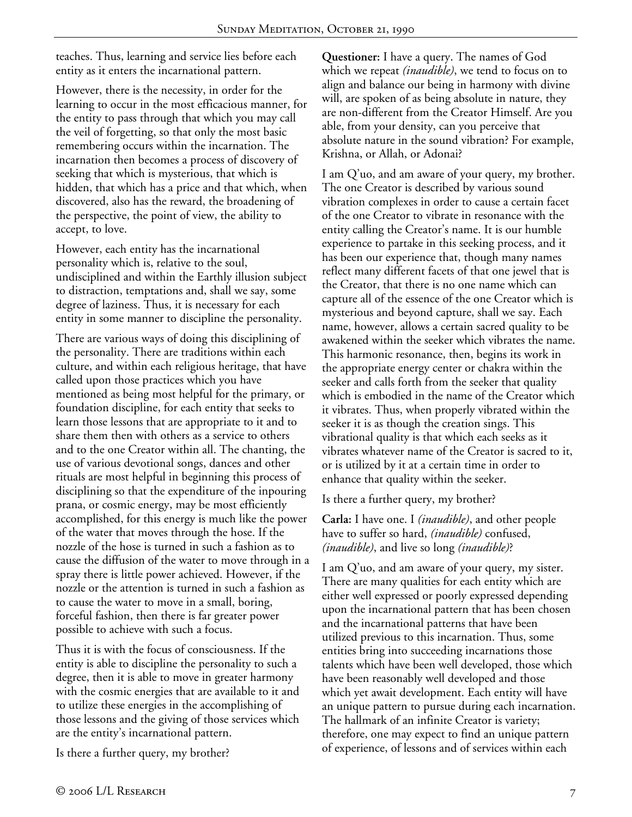teaches. Thus, learning and service lies before each entity as it enters the incarnational pattern.

However, there is the necessity, in order for the learning to occur in the most efficacious manner, for the entity to pass through that which you may call the veil of forgetting, so that only the most basic remembering occurs within the incarnation. The incarnation then becomes a process of discovery of seeking that which is mysterious, that which is hidden, that which has a price and that which, when discovered, also has the reward, the broadening of the perspective, the point of view, the ability to accept, to love.

However, each entity has the incarnational personality which is, relative to the soul, undisciplined and within the Earthly illusion subject to distraction, temptations and, shall we say, some degree of laziness. Thus, it is necessary for each entity in some manner to discipline the personality.

There are various ways of doing this disciplining of the personality. There are traditions within each culture, and within each religious heritage, that have called upon those practices which you have mentioned as being most helpful for the primary, or foundation discipline, for each entity that seeks to learn those lessons that are appropriate to it and to share them then with others as a service to others and to the one Creator within all. The chanting, the use of various devotional songs, dances and other rituals are most helpful in beginning this process of disciplining so that the expenditure of the inpouring prana, or cosmic energy, may be most efficiently accomplished, for this energy is much like the power of the water that moves through the hose. If the nozzle of the hose is turned in such a fashion as to cause the diffusion of the water to move through in a spray there is little power achieved. However, if the nozzle or the attention is turned in such a fashion as to cause the water to move in a small, boring, forceful fashion, then there is far greater power possible to achieve with such a focus.

Thus it is with the focus of consciousness. If the entity is able to discipline the personality to such a degree, then it is able to move in greater harmony with the cosmic energies that are available to it and to utilize these energies in the accomplishing of those lessons and the giving of those services which are the entity's incarnational pattern.

Is there a further query, my brother?

**Questioner:** I have a query. The names of God which we repeat *(inaudible)*, we tend to focus on to align and balance our being in harmony with divine will, are spoken of as being absolute in nature, they are non-different from the Creator Himself. Are you able, from your density, can you perceive that absolute nature in the sound vibration? For example, Krishna, or Allah, or Adonai?

I am Q'uo, and am aware of your query, my brother. The one Creator is described by various sound vibration complexes in order to cause a certain facet of the one Creator to vibrate in resonance with the entity calling the Creator's name. It is our humble experience to partake in this seeking process, and it has been our experience that, though many names reflect many different facets of that one jewel that is the Creator, that there is no one name which can capture all of the essence of the one Creator which is mysterious and beyond capture, shall we say. Each name, however, allows a certain sacred quality to be awakened within the seeker which vibrates the name. This harmonic resonance, then, begins its work in the appropriate energy center or chakra within the seeker and calls forth from the seeker that quality which is embodied in the name of the Creator which it vibrates. Thus, when properly vibrated within the seeker it is as though the creation sings. This vibrational quality is that which each seeks as it vibrates whatever name of the Creator is sacred to it, or is utilized by it at a certain time in order to enhance that quality within the seeker.

Is there a further query, my brother?

**Carla:** I have one. I *(inaudible)*, and other people have to suffer so hard, *(inaudible)* confused, *(inaudible)*, and live so long *(inaudible)*?

I am Q'uo, and am aware of your query, my sister. There are many qualities for each entity which are either well expressed or poorly expressed depending upon the incarnational pattern that has been chosen and the incarnational patterns that have been utilized previous to this incarnation. Thus, some entities bring into succeeding incarnations those talents which have been well developed, those which have been reasonably well developed and those which yet await development. Each entity will have an unique pattern to pursue during each incarnation. The hallmark of an infinite Creator is variety; therefore, one may expect to find an unique pattern of experience, of lessons and of services within each